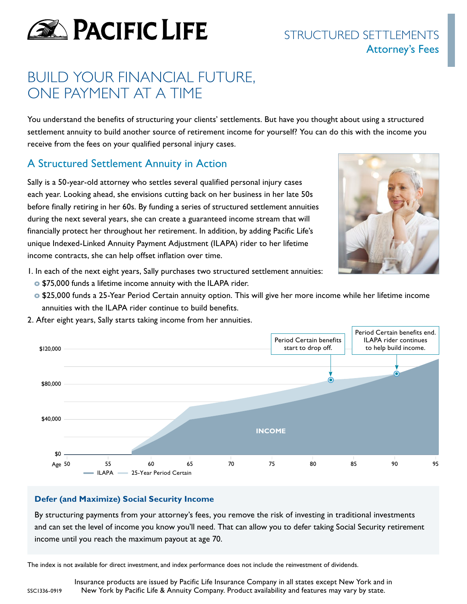

# STRUCTURED SETTI EMENTS Attorney's Fees

# BUILD YOUR FINANCIAL FUTURE, ONE PAYMENT AT A TIME

You understand the benefits of structuring your clients' settlements. But have you thought about using a structured settlement annuity to build another source of retirement income for yourself? You can do this with the income you receive from the fees on your qualified personal injury cases.

## A Structured Settlement Annuity in Action

Sally is a 50-year-old attorney who settles several qualified personal injury cases each year. Looking ahead, she envisions cutting back on her business in her late 50s before finally retiring in her 60s. By funding a series of structured settlement annuities during the next several years, she can create a guaranteed income stream that will financially protect her throughout her retirement. In addition, by adding Pacific Life's unique Indexed-Linked Annuity Payment Adjustment (ILAPA) rider to her lifetime income contracts, she can help offset inflation over time.



- 1. In each of the next eight years, Sally purchases two structured settlement annuities:
	- **o** \$75,000 funds a lifetime income annuity with the ILAPA rider.
	- **o** \$25,000 funds a 25-Year Period Certain annuity option. This will give her more income while her lifetime income annuities with the ILAPA rider continue to build benefits.



2. After eight years, Sally starts taking income from her annuities.

### **Defer (and Maximize) Social Security Income**

By structuring payments from your attorney's fees, you remove the risk of investing in traditional investments and can set the level of income you know you'll need. That can allow you to defer taking Social Security retirement income until you reach the maximum payout at age 70.

The index is not available for direct investment, and index performance does not include the reinvestment of dividends.